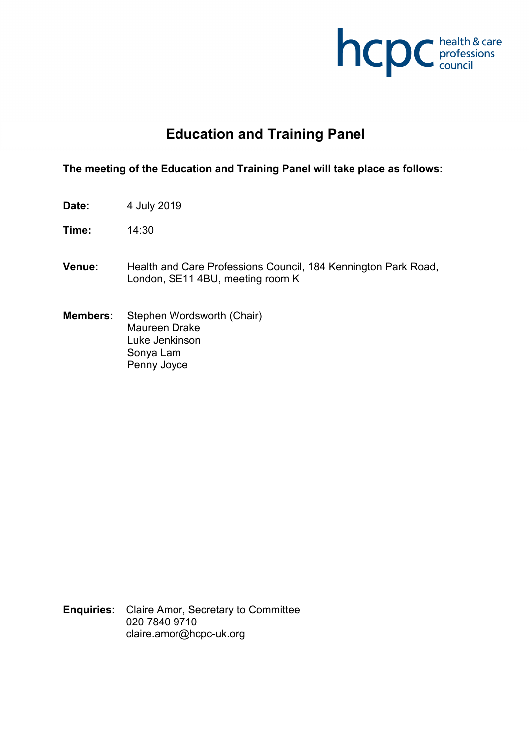

# **Education and Training Panel**

#### **The meeting of the Education and Training Panel will take place as follows:**

- **Date:** 4 July 2019
- **Time:** 14:30
- **Venue:** Health and Care Professions Council, 184 Kennington Park Road, London, SE11 4BU, meeting room K
- **Members:** Stephen Wordsworth (Chair) Maureen Drake Luke Jenkinson Sonya Lam Penny Joyce

**Enquiries:** Claire Amor, Secretary to Committee 020 7840 9710 claire.amor@hcpc-uk.org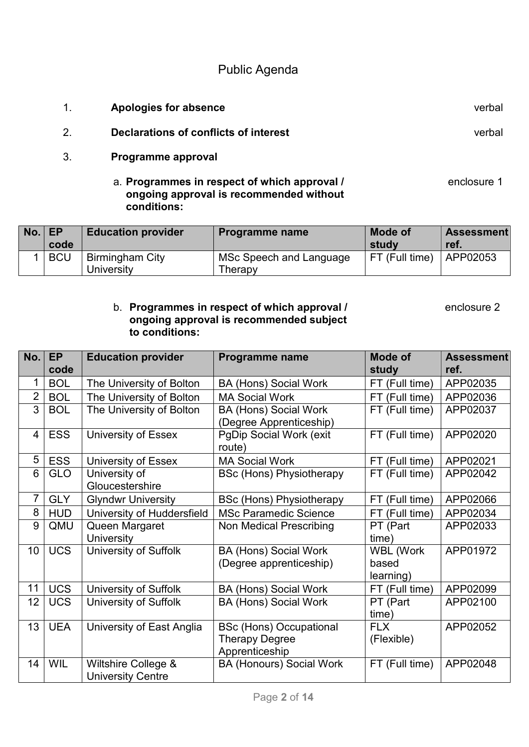Public Agenda

- 1. **Apologies for absence** verbal
- 2. **Declarations of conflicts of interest** verbal
- 3. **Programme approval** 
	- a. **Programmes in respect of which approval /** enclosure 1 **ongoing approval is recommended without conditions:**

| No. | . EP       | <b>Education provider</b> | <b>Programme name</b>   | <b>Mode of</b> | <b>Assessment</b> |
|-----|------------|---------------------------|-------------------------|----------------|-------------------|
|     | code       |                           |                         | studv          | ret.              |
|     | <b>BCU</b> | <b>Birmingham City</b>    | MSc Speech and Language | FT (Full time) | APP02053          |
|     |            | University                | Therapy                 |                |                   |

#### b. **Programmes in respect of which approval /** enclosure 2 **ongoing approval is recommended subject to conditions:**

| No.             | <b>EP</b>  | <b>Education provider</b>    | Programme name                  | Mode of          | <b>Assessment</b> |
|-----------------|------------|------------------------------|---------------------------------|------------------|-------------------|
|                 | code       |                              |                                 | study            | ref.              |
| 1               | <b>BOL</b> | The University of Bolton     | <b>BA (Hons) Social Work</b>    | FT (Full time)   | APP02035          |
| $\overline{2}$  | <b>BOL</b> | The University of Bolton     | <b>MA Social Work</b>           | FT (Full time)   | APP02036          |
| 3               | <b>BOL</b> | The University of Bolton     | <b>BA (Hons) Social Work</b>    | FT (Full time)   | APP02037          |
|                 |            |                              | (Degree Apprenticeship)         |                  |                   |
| $\overline{4}$  | <b>ESS</b> | University of Essex          | <b>PgDip Social Work (exit)</b> | FT (Full time)   | APP02020          |
|                 |            |                              | route)                          |                  |                   |
| 5               | <b>ESS</b> | University of Essex          | <b>MA Social Work</b>           | FT (Full time)   | APP02021          |
| 6               | <b>GLO</b> | University of                | <b>BSc (Hons) Physiotherapy</b> | FT (Full time)   | APP02042          |
|                 |            | Gloucestershire              |                                 |                  |                   |
| $\overline{7}$  | <b>GLY</b> | <b>Glyndwr University</b>    | <b>BSc (Hons) Physiotherapy</b> | FT (Full time)   | APP02066          |
| 8               | <b>HUD</b> | University of Huddersfield   | <b>MSc Paramedic Science</b>    | FT (Full time)   | APP02034          |
| 9               | QMU        | Queen Margaret               | <b>Non Medical Prescribing</b>  | PT (Part         | APP02033          |
|                 |            | <b>University</b>            |                                 | time)            |                   |
| 10 <sup>°</sup> | <b>UCS</b> | <b>University of Suffolk</b> | <b>BA (Hons) Social Work</b>    | <b>WBL (Work</b> | APP01972          |
|                 |            |                              | (Degree apprenticeship)         | based            |                   |
|                 |            |                              |                                 | learning)        |                   |
| 11              | <b>UCS</b> | <b>University of Suffolk</b> | <b>BA (Hons) Social Work</b>    | FT (Full time)   | APP02099          |
| 12              | <b>UCS</b> | University of Suffolk        | <b>BA (Hons) Social Work</b>    | PT (Part         | APP02100          |
|                 |            |                              |                                 | time)            |                   |
| 13              | <b>UEA</b> | University of East Anglia    | <b>BSc (Hons) Occupational</b>  | <b>FLX</b>       | APP02052          |
|                 |            |                              | <b>Therapy Degree</b>           | (Flexible)       |                   |
|                 |            |                              | Apprenticeship                  |                  |                   |
| 14              | <b>WIL</b> | Wiltshire College &          | <b>BA (Honours) Social Work</b> | FT (Full time)   | APP02048          |
|                 |            | <b>University Centre</b>     |                                 |                  |                   |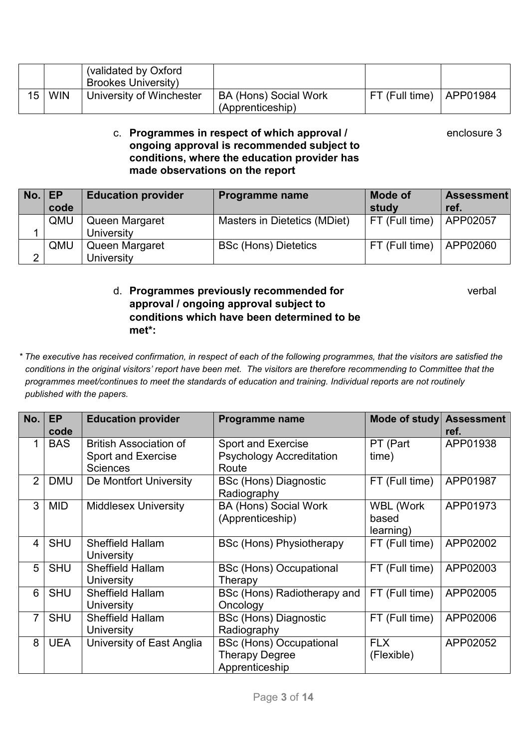|    |            | (validated by Oxford       |                       |                |          |
|----|------------|----------------------------|-----------------------|----------------|----------|
|    |            | <b>Brookes University)</b> |                       |                |          |
| 15 | <b>WIN</b> | University of Winchester   | BA (Hons) Social Work | FT (Full time) | APP01984 |
|    |            |                            | (Apprenticeship)      |                |          |

#### c. **Programmes in respect of which approval /** enclosure 3 **ongoing approval is recommended subject to conditions, where the education provider has made observations on the report**

| No. | EP<br>code | <b>Education provider</b>           | Programme name               | <b>Mode of</b><br>study | <b>Assessment</b><br>ref. |
|-----|------------|-------------------------------------|------------------------------|-------------------------|---------------------------|
|     | QMU        | Queen Margaret<br><b>University</b> | Masters in Dietetics (MDiet) | $ FT$ (Full time)       | APP02057                  |
| ⌒   | QMU        | Queen Margaret<br>University        | <b>BSc (Hons) Dietetics</b>  | FT (Full time)          | APP02060                  |

### d. **Programmes previously recommended for** verbal **approval / ongoing approval subject to conditions which have been determined to be met\*:**

*\* The executive has received confirmation, in respect of each of the following programmes, that the visitors are satisfied the conditions in the original visitors' report have been met. The visitors are therefore recommending to Committee that the programmes meet/continues to meet the standards of education and training. Individual reports are not routinely published with the papers.* 

| No.            | <b>EP</b><br>code | <b>Education provider</b>                                                     | Programme name                                                        | Mode of study                          | <b>Assessment</b><br>ref. |
|----------------|-------------------|-------------------------------------------------------------------------------|-----------------------------------------------------------------------|----------------------------------------|---------------------------|
| 1.             | <b>BAS</b>        | <b>British Association of</b><br><b>Sport and Exercise</b><br><b>Sciences</b> | <b>Sport and Exercise</b><br><b>Psychology Accreditation</b><br>Route | PT (Part<br>time)                      | APP01938                  |
| $\overline{2}$ | <b>DMU</b>        | De Montfort University                                                        | <b>BSc (Hons) Diagnostic</b><br>Radiography                           | FT (Full time)                         | APP01987                  |
| 3              | MID               | <b>Middlesex University</b>                                                   | <b>BA (Hons) Social Work</b><br>(Apprenticeship)                      | <b>WBL (Work</b><br>based<br>learning) | APP01973                  |
| 4              | <b>SHU</b>        | <b>Sheffield Hallam</b><br>University                                         | <b>BSc (Hons) Physiotherapy</b>                                       | FT (Full time)                         | APP02002                  |
| 5              | <b>SHU</b>        | <b>Sheffield Hallam</b><br>University                                         | <b>BSc (Hons) Occupational</b><br>Therapy                             | FT (Full time)                         | APP02003                  |
| 6              | <b>SHU</b>        | <b>Sheffield Hallam</b><br>University                                         | BSc (Hons) Radiotherapy and<br>Oncology                               | FT (Full time)                         | APP02005                  |
| $\overline{7}$ | <b>SHU</b>        | <b>Sheffield Hallam</b><br>University                                         | <b>BSc (Hons) Diagnostic</b><br>Radiography                           | FT (Full time)                         | APP02006                  |
| 8              | <b>UEA</b>        | University of East Anglia                                                     | <b>BSc (Hons) Occupational</b><br>Therapy Degree<br>Apprenticeship    | <b>FLX</b><br>(Flexible)               | APP02052                  |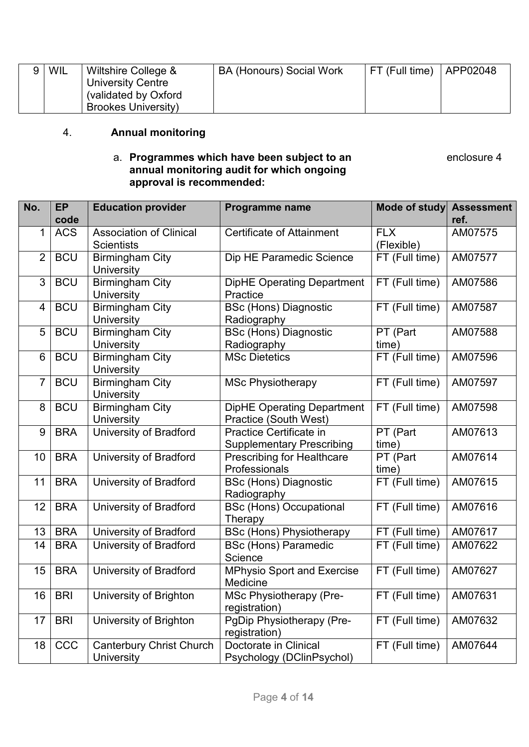| 9 | WIL | Wiltshire College &        | BA (Honours) Social Work | FT (Full time) | APP02048 |
|---|-----|----------------------------|--------------------------|----------------|----------|
|   |     | <b>University Centre</b>   |                          |                |          |
|   |     | (validated by Oxford       |                          |                |          |
|   |     | <b>Brookes University)</b> |                          |                |          |

## 4. **Annual monitoring**

#### a. **Programmes which have been subject to an** enclosure 4 **annual monitoring audit for which ongoing approval is recommended:**

| No.            | <b>EP</b><br>code | <b>Education provider</b>                            | <b>Programme name</b>                                       | <b>Mode of study</b>     | <b>Assessment</b><br>ref. |
|----------------|-------------------|------------------------------------------------------|-------------------------------------------------------------|--------------------------|---------------------------|
| $\mathbf{1}$   | <b>ACS</b>        | <b>Association of Clinical</b><br><b>Scientists</b>  | <b>Certificate of Attainment</b>                            | <b>FLX</b><br>(Flexible) | AM07575                   |
| $\overline{2}$ | <b>BCU</b>        | <b>Birmingham City</b><br><b>University</b>          | Dip HE Paramedic Science                                    | FT (Full time)           | AM07577                   |
| 3              | <b>BCU</b>        | <b>Birmingham City</b><br>University                 | <b>DipHE Operating Department</b><br>Practice               | FT (Full time)           | AM07586                   |
| $\overline{4}$ | <b>BCU</b>        | <b>Birmingham City</b><br><b>University</b>          | <b>BSc (Hons) Diagnostic</b><br>Radiography                 | FT (Full time)           | AM07587                   |
| 5              | <b>BCU</b>        | <b>Birmingham City</b><br>University                 | <b>BSc (Hons) Diagnostic</b><br>Radiography                 | PT (Part<br>time)        | AM07588                   |
| 6              | <b>BCU</b>        | <b>Birmingham City</b><br>University                 | <b>MSc Dietetics</b>                                        | FT (Full time)           | AM07596                   |
| $\overline{7}$ | <b>BCU</b>        | <b>Birmingham City</b><br><b>University</b>          | <b>MSc Physiotherapy</b>                                    | FT (Full time)           | AM07597                   |
| 8              | <b>BCU</b>        | <b>Birmingham City</b><br><b>University</b>          | <b>DipHE Operating Department</b><br>Practice (South West)  | FT (Full time)           | AM07598                   |
| 9              | <b>BRA</b>        | <b>University of Bradford</b>                        | Practice Certificate in<br><b>Supplementary Prescribing</b> | PT (Part<br>time)        | AM07613                   |
| 10             | <b>BRA</b>        | <b>University of Bradford</b>                        | <b>Prescribing for Healthcare</b><br>Professionals          | PT (Part<br>time)        | AM07614                   |
| 11             | <b>BRA</b>        | <b>University of Bradford</b>                        | <b>BSc (Hons) Diagnostic</b><br>Radiography                 | FT (Full time)           | AM07615                   |
| 12             | <b>BRA</b>        | University of Bradford                               | <b>BSc (Hons) Occupational</b><br>Therapy                   | FT (Full time)           | AM07616                   |
| 13             | <b>BRA</b>        | <b>University of Bradford</b>                        | <b>BSc (Hons) Physiotherapy</b>                             | FT (Full time)           | AM07617                   |
| 14             | <b>BRA</b>        | <b>University of Bradford</b>                        | <b>BSc (Hons) Paramedic</b><br>Science                      | FT (Full time)           | AM07622                   |
| 15             | <b>BRA</b>        | <b>University of Bradford</b>                        | <b>MPhysio Sport and Exercise</b><br>Medicine               | FT (Full time)           | AM07627                   |
|                | $16$ BRI          | University of Brighton                               | <b>MSc Physiotherapy (Pre-</b><br>registration)             | FT (Full time)           | AM07631                   |
| 17             | <b>BRI</b>        | University of Brighton                               | PgDip Physiotherapy (Pre-<br>registration)                  | FT (Full time)           | AM07632                   |
| 18             | CCC               | <b>Canterbury Christ Church</b><br><b>University</b> | Doctorate in Clinical<br>Psychology (DClinPsychol)          | FT (Full time)           | AM07644                   |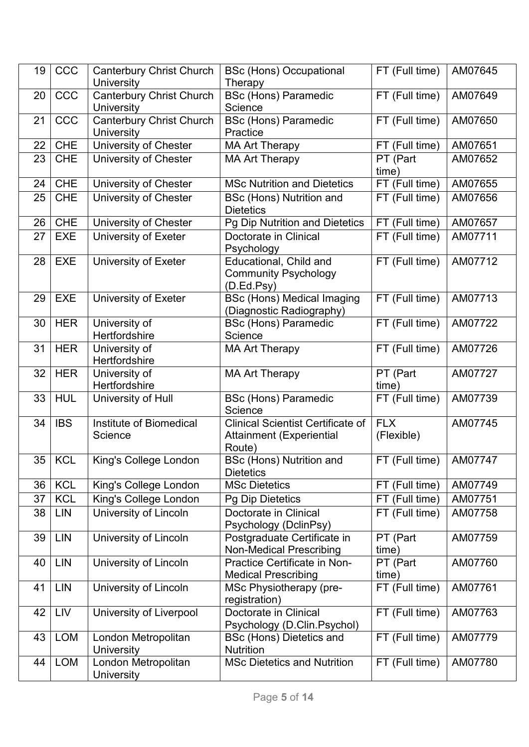| 19              | CCC        | <b>Canterbury Christ Church</b>                      | <b>BSc (Hons) Occupational</b>                                                 | FT (Full time)           | AM07645 |
|-----------------|------------|------------------------------------------------------|--------------------------------------------------------------------------------|--------------------------|---------|
|                 |            | <b>University</b>                                    | Therapy                                                                        |                          |         |
| 20              | CCC        | <b>Canterbury Christ Church</b><br><b>University</b> | <b>BSc (Hons) Paramedic</b><br>Science                                         | FT (Full time)           | AM07649 |
| 21              | CCC        | <b>Canterbury Christ Church</b>                      | <b>BSc (Hons) Paramedic</b>                                                    | FT (Full time)           | AM07650 |
|                 |            | University                                           | Practice                                                                       |                          |         |
| 22              | <b>CHE</b> | University of Chester                                | <b>MA Art Therapy</b>                                                          | FT (Full time)           | AM07651 |
| 23              | <b>CHE</b> | University of Chester                                | <b>MA Art Therapy</b>                                                          | PT (Part<br>time)        | AM07652 |
| 24              | <b>CHE</b> | University of Chester                                | <b>MSc Nutrition and Dietetics</b>                                             | FT (Full time)           | AM07655 |
| 25              | <b>CHE</b> | <b>University of Chester</b>                         | <b>BSc (Hons) Nutrition and</b><br><b>Dietetics</b>                            | FT (Full time)           | AM07656 |
| 26              | <b>CHE</b> | University of Chester                                | Pg Dip Nutrition and Dietetics                                                 | FT (Full time)           | AM07657 |
| 27              | <b>EXE</b> | University of Exeter                                 | Doctorate in Clinical                                                          | FT (Full time)           | AM07711 |
|                 |            |                                                      | Psychology                                                                     |                          |         |
| 28              | <b>EXE</b> | University of Exeter                                 | Educational, Child and<br><b>Community Psychology</b><br>(D.Ed.Psy)            | FT (Full time)           | AM07712 |
| 29              | <b>EXE</b> | University of Exeter                                 | <b>BSc (Hons) Medical Imaging</b><br>(Diagnostic Radiography)                  | FT (Full time)           | AM07713 |
| 30              | <b>HER</b> | University of<br>Hertfordshire                       | <b>BSc (Hons) Paramedic</b><br>Science                                         | FT (Full time)           | AM07722 |
| 31              | <b>HER</b> | University of<br>Hertfordshire                       | <b>MA Art Therapy</b>                                                          | FT (Full time)           | AM07726 |
| 32              | <b>HER</b> | University of<br>Hertfordshire                       | <b>MA Art Therapy</b>                                                          | PT (Part<br>time)        | AM07727 |
| 33              | <b>HUL</b> | University of Hull                                   | <b>BSc (Hons) Paramedic</b><br>Science                                         | FT (Full time)           | AM07739 |
| 34              | <b>IBS</b> | Institute of Biomedical<br>Science                   | <b>Clinical Scientist Certificate of</b><br>Attainment (Experiential<br>Route) | <b>FLX</b><br>(Flexible) | AM07745 |
| 35 <sub>1</sub> | <b>KCL</b> | King's College London                                | <b>BSc (Hons) Nutrition and</b><br><b>Dietetics</b>                            | FT (Full time)           | AM07747 |
| 36              | <b>KCL</b> | King's College London                                | <b>MSc Dietetics</b>                                                           | FT (Full time)           | AM07749 |
| 37              | <b>KCL</b> | King's College London                                | <b>Pg Dip Dietetics</b>                                                        | FT (Full time)           | AM07751 |
| 38              | <b>LIN</b> | University of Lincoln                                | Doctorate in Clinical<br>Psychology (DclinPsy)                                 | FT (Full time)           | AM07758 |
| 39              | <b>LIN</b> | University of Lincoln                                | Postgraduate Certificate in<br><b>Non-Medical Prescribing</b>                  | PT (Part<br>time)        | AM07759 |
| 40              | <b>LIN</b> | University of Lincoln                                | <b>Practice Certificate in Non-</b><br><b>Medical Prescribing</b>              | PT (Part<br>time)        | AM07760 |
| 41              | <b>LIN</b> | University of Lincoln                                | MSc Physiotherapy (pre-<br>registration)                                       | FT (Full time)           | AM07761 |
| 42              | <b>LIV</b> | University of Liverpool                              | Doctorate in Clinical<br>Psychology (D.Clin.Psychol)                           | FT (Full time)           | AM07763 |
| 43              | <b>LOM</b> | London Metropolitan<br><b>University</b>             | BSc (Hons) Dietetics and<br><b>Nutrition</b>                                   | FT (Full time)           | AM07779 |
| 44              | <b>LOM</b> | London Metropolitan<br>University                    | <b>MSc Dietetics and Nutrition</b>                                             | FT (Full time)           | AM07780 |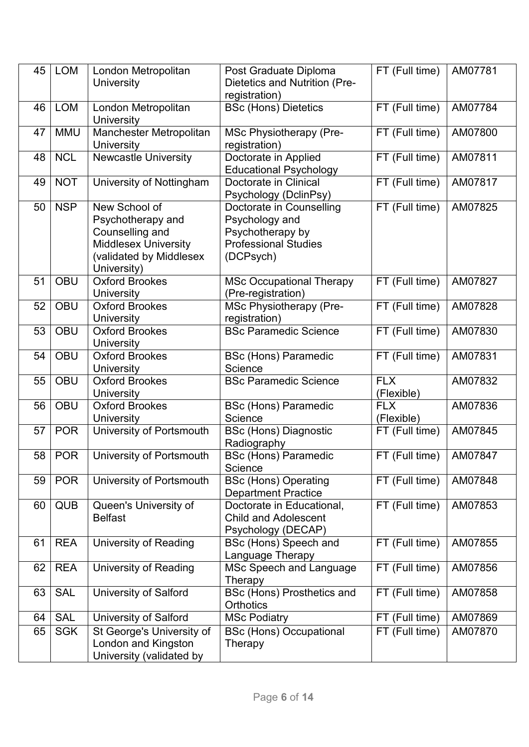| 45 | <b>LOM</b> | London Metropolitan<br><b>University</b>                                                                                       | Post Graduate Diploma<br>Dietetics and Nutrition (Pre-<br>registration)                                    | FT (Full time)           | AM07781 |
|----|------------|--------------------------------------------------------------------------------------------------------------------------------|------------------------------------------------------------------------------------------------------------|--------------------------|---------|
| 46 | <b>LOM</b> | London Metropolitan<br>University                                                                                              | <b>BSc (Hons) Dietetics</b>                                                                                | FT (Full time)           | AM07784 |
| 47 | <b>MMU</b> | Manchester Metropolitan<br><b>University</b>                                                                                   | <b>MSc Physiotherapy (Pre-</b><br>registration)                                                            | FT (Full time)           | AM07800 |
| 48 | <b>NCL</b> | <b>Newcastle University</b>                                                                                                    | Doctorate in Applied<br><b>Educational Psychology</b>                                                      | FT (Full time)           | AM07811 |
| 49 | <b>NOT</b> | University of Nottingham                                                                                                       | Doctorate in Clinical<br>Psychology (DclinPsy)                                                             | FT (Full time)           | AM07817 |
| 50 | <b>NSP</b> | New School of<br>Psychotherapy and<br>Counselling and<br><b>Middlesex University</b><br>(validated by Middlesex<br>University) | Doctorate in Counselling<br>Psychology and<br>Psychotherapy by<br><b>Professional Studies</b><br>(DCPsych) | FT (Full time)           | AM07825 |
| 51 | <b>OBU</b> | <b>Oxford Brookes</b><br><b>University</b>                                                                                     | <b>MSc Occupational Therapy</b><br>(Pre-registration)                                                      | FT (Full time)           | AM07827 |
| 52 | OBU        | <b>Oxford Brookes</b><br><b>University</b>                                                                                     | <b>MSc Physiotherapy (Pre-</b><br>registration)                                                            | FT (Full time)           | AM07828 |
| 53 | <b>OBU</b> | <b>Oxford Brookes</b><br>University                                                                                            | <b>BSc Paramedic Science</b>                                                                               | FT (Full time)           | AM07830 |
| 54 | <b>OBU</b> | <b>Oxford Brookes</b><br><b>University</b>                                                                                     | <b>BSc (Hons) Paramedic</b><br>Science                                                                     | FT (Full time)           | AM07831 |
| 55 | <b>OBU</b> | <b>Oxford Brookes</b><br><b>University</b>                                                                                     | <b>BSc Paramedic Science</b>                                                                               | <b>FLX</b><br>(Flexible) | AM07832 |
| 56 | <b>OBU</b> | <b>Oxford Brookes</b><br><b>University</b>                                                                                     | <b>BSc (Hons) Paramedic</b><br>Science                                                                     | <b>FLX</b><br>(Flexible) | AM07836 |
| 57 | <b>POR</b> | University of Portsmouth                                                                                                       | <b>BSc (Hons) Diagnostic</b><br>Radiography                                                                | FT (Full time)           | AM07845 |
| 58 | <b>POR</b> | University of Portsmouth                                                                                                       | <b>BSc (Hons) Paramedic</b><br>Science                                                                     | FT (Full time)           | AM07847 |
| 59 | <b>POR</b> | University of Portsmouth                                                                                                       | <b>BSc (Hons) Operating</b><br><b>Department Practice</b>                                                  | FT (Full time)           | AM07848 |
| 60 | <b>QUB</b> | Queen's University of<br><b>Belfast</b>                                                                                        | Doctorate in Educational,<br><b>Child and Adolescent</b><br>Psychology (DECAP)                             | FT (Full time)           | AM07853 |
| 61 | <b>REA</b> | University of Reading                                                                                                          | BSc (Hons) Speech and<br>Language Therapy                                                                  | FT (Full time)           | AM07855 |
| 62 | <b>REA</b> | <b>University of Reading</b>                                                                                                   | MSc Speech and Language<br>Therapy                                                                         | FT (Full time)           | AM07856 |
| 63 | SAL        | <b>University of Salford</b>                                                                                                   | BSc (Hons) Prosthetics and<br><b>Orthotics</b>                                                             | FT (Full time)           | AM07858 |
| 64 | <b>SAL</b> | <b>University of Salford</b>                                                                                                   | <b>MSc Podiatry</b>                                                                                        | FT (Full time)           | AM07869 |
| 65 | <b>SGK</b> | St George's University of<br>London and Kingston<br>University (validated by                                                   | <b>BSc (Hons) Occupational</b><br>Therapy                                                                  | FT (Full time)           | AM07870 |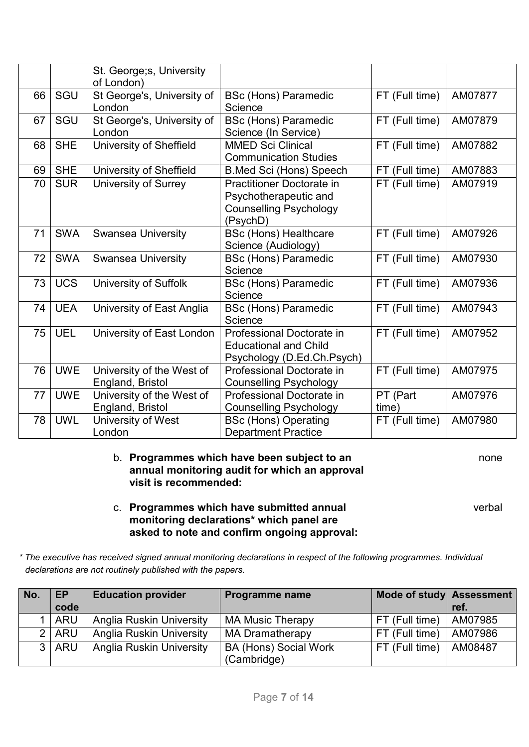|    |            | St. George; s, University<br>of London)       |                                                                                                        |                   |         |
|----|------------|-----------------------------------------------|--------------------------------------------------------------------------------------------------------|-------------------|---------|
| 66 | SGU        | St George's, University of<br>London          | <b>BSc (Hons) Paramedic</b><br>Science                                                                 | FT (Full time)    | AM07877 |
| 67 | SGU        | St George's, University of<br>London          | <b>BSc (Hons) Paramedic</b><br>Science (In Service)                                                    | FT (Full time)    | AM07879 |
| 68 | <b>SHE</b> | <b>University of Sheffield</b>                | <b>MMED Sci Clinical</b><br><b>Communication Studies</b>                                               | FT (Full time)    | AM07882 |
| 69 | <b>SHE</b> | University of Sheffield                       | <b>B.Med Sci (Hons) Speech</b>                                                                         | FT (Full time)    | AM07883 |
| 70 | <b>SUR</b> | <b>University of Surrey</b>                   | <b>Practitioner Doctorate in</b><br>Psychotherapeutic and<br><b>Counselling Psychology</b><br>(PsychD) | FT (Full time)    | AM07919 |
| 71 | <b>SWA</b> | <b>Swansea University</b>                     | <b>BSc (Hons) Healthcare</b><br>Science (Audiology)                                                    | FT (Full time)    | AM07926 |
| 72 | <b>SWA</b> | <b>Swansea University</b>                     | <b>BSc (Hons) Paramedic</b><br>Science                                                                 | FT (Full time)    | AM07930 |
| 73 | <b>UCS</b> | <b>University of Suffolk</b>                  | <b>BSc (Hons) Paramedic</b><br>Science                                                                 | FT (Full time)    | AM07936 |
| 74 | <b>UEA</b> | University of East Anglia                     | <b>BSc (Hons) Paramedic</b><br>Science                                                                 | FT (Full time)    | AM07943 |
| 75 | <b>UEL</b> | University of East London                     | Professional Doctorate in<br><b>Educational and Child</b><br>Psychology (D.Ed.Ch.Psych)                | FT (Full time)    | AM07952 |
| 76 | <b>UWE</b> | University of the West of<br>England, Bristol | Professional Doctorate in<br><b>Counselling Psychology</b>                                             | FT (Full time)    | AM07975 |
| 77 | <b>UWE</b> | University of the West of<br>England, Bristol | Professional Doctorate in<br><b>Counselling Psychology</b>                                             | PT (Part<br>time) | AM07976 |
| 78 | <b>UWL</b> | University of West<br>London                  | <b>BSc (Hons) Operating</b><br><b>Department Practice</b>                                              | FT (Full time)    | AM07980 |

#### b. **Programmes which have been subject to an** none **annual monitoring audit for which an approval visit is recommended:**

c. **Programmes which have submitted annual** verbal **monitoring declarations\* which panel are asked to note and confirm ongoing approval:** 

*\* The executive has received signed annual monitoring declarations in respect of the following programmes. Individual declarations are not routinely published with the papers.*

| No. | <b>EP</b> | <b>Education provider</b>       | Programme name               | Mode of study Assessment |         |
|-----|-----------|---------------------------------|------------------------------|--------------------------|---------|
|     | code      |                                 |                              |                          | ref.    |
|     | $1$   ARU | <b>Anglia Ruskin University</b> | <b>MA Music Therapy</b>      | FT (Full time)           | AM07985 |
|     | 2 ARU     | <b>Anglia Ruskin University</b> | <b>MA Dramatherapy</b>       | FT (Full time)           | AM07986 |
|     | 3 ARU     | <b>Anglia Ruskin University</b> | <b>BA (Hons) Social Work</b> | FT (Full time)           | AM08487 |
|     |           |                                 | (Cambridge)                  |                          |         |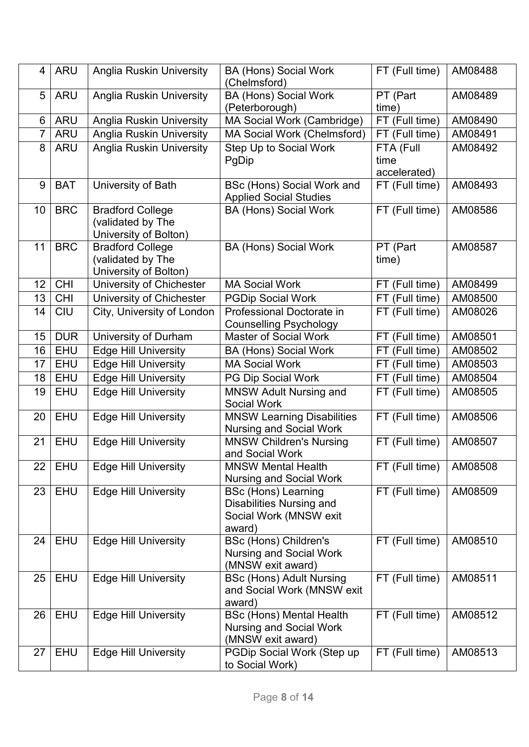| 4               | <b>ARU</b> | <b>Anglia Ruskin University</b>                                       | <b>BA (Hons) Social Work</b><br>(Chelmsford)                                                      | FT (Full time)                    | AM08488 |
|-----------------|------------|-----------------------------------------------------------------------|---------------------------------------------------------------------------------------------------|-----------------------------------|---------|
| 5               | <b>ARU</b> | <b>Anglia Ruskin University</b>                                       | <b>BA (Hons) Social Work</b><br>(Peterborough)                                                    | PT (Part<br>time)                 | AM08489 |
| 6               | <b>ARU</b> | <b>Anglia Ruskin University</b>                                       | MA Social Work (Cambridge)                                                                        | FT (Full time)                    | AM08490 |
| $\overline{7}$  | <b>ARU</b> | <b>Anglia Ruskin University</b>                                       | MA Social Work (Chelmsford)                                                                       | FT (Full time)                    | AM08491 |
| 8               | <b>ARU</b> | <b>Anglia Ruskin University</b>                                       | Step Up to Social Work<br>PgDip                                                                   | FTA (Full<br>time<br>accelerated) | AM08492 |
| 9               | <b>BAT</b> | University of Bath                                                    | <b>BSc (Hons) Social Work and</b><br><b>Applied Social Studies</b>                                | FT (Full time)                    | AM08493 |
| 10 <sup>°</sup> | <b>BRC</b> | <b>Bradford College</b><br>(validated by The<br>University of Bolton) | <b>BA (Hons) Social Work</b>                                                                      | FT (Full time)                    | AM08586 |
| 11              | <b>BRC</b> | <b>Bradford College</b><br>(validated by The<br>University of Bolton) | <b>BA (Hons) Social Work</b>                                                                      | PT (Part<br>time)                 | AM08587 |
| 12              | CHI        | University of Chichester                                              | <b>MA Social Work</b>                                                                             | FT (Full time)                    | AM08499 |
| 13              | <b>CHI</b> | University of Chichester                                              | <b>PGDip Social Work</b>                                                                          | FT (Full time)                    | AM08500 |
| 14              | <b>CIU</b> | City, University of London                                            | Professional Doctorate in<br><b>Counselling Psychology</b>                                        | FT (Full time)                    | AM08026 |
| 15              | <b>DUR</b> | University of Durham                                                  | <b>Master of Social Work</b>                                                                      | FT (Full time)                    | AM08501 |
| 16              | EHU        | <b>Edge Hill University</b>                                           | <b>BA (Hons) Social Work</b>                                                                      | FT (Full time)                    | AM08502 |
| 17              | <b>EHU</b> | <b>Edge Hill University</b>                                           | <b>MA Social Work</b>                                                                             | $FT$ (Full time)                  | AM08503 |
| 18              | <b>EHU</b> | <b>Edge Hill University</b>                                           | PG Dip Social Work                                                                                | FT (Full time)                    | AM08504 |
| 19              | <b>EHU</b> | <b>Edge Hill University</b>                                           | <b>MNSW Adult Nursing and</b><br><b>Social Work</b>                                               | FT (Full time)                    | AM08505 |
| 20              | <b>EHU</b> | <b>Edge Hill University</b>                                           | <b>MNSW Learning Disabilities</b><br><b>Nursing and Social Work</b>                               | FT (Full time)                    | AM08506 |
| 21              | <b>EHU</b> | <b>Edge Hill University</b>                                           | <b>MNSW Children's Nursing</b><br>and Social Work                                                 | FT (Full time)                    | AM08507 |
| 22              | <b>EHU</b> | <b>Edge Hill University</b>                                           | <b>MNSW Mental Health</b><br><b>Nursing and Social Work</b>                                       | FT (Full time)                    | AM08508 |
| 23              | EHU        | <b>Edge Hill University</b>                                           | <b>BSc (Hons) Learning</b><br><b>Disabilities Nursing and</b><br>Social Work (MNSW exit<br>award) | FT (Full time)                    | AM08509 |
| 24              | <b>EHU</b> | <b>Edge Hill University</b>                                           | <b>BSc (Hons) Children's</b><br><b>Nursing and Social Work</b><br>(MNSW exit award)               | FT (Full time)                    | AM08510 |
| 25              | EHU        | <b>Edge Hill University</b>                                           | <b>BSc (Hons) Adult Nursing</b><br>and Social Work (MNSW exit<br>award)                           | FT (Full time)                    | AM08511 |
| 26              | EHU        | <b>Edge Hill University</b>                                           | <b>BSc (Hons) Mental Health</b><br><b>Nursing and Social Work</b><br>(MNSW exit award)            | FT (Full time)                    | AM08512 |
| 27              | EHU        | <b>Edge Hill University</b>                                           | PGDip Social Work (Step up<br>to Social Work)                                                     | FT (Full time)                    | AM08513 |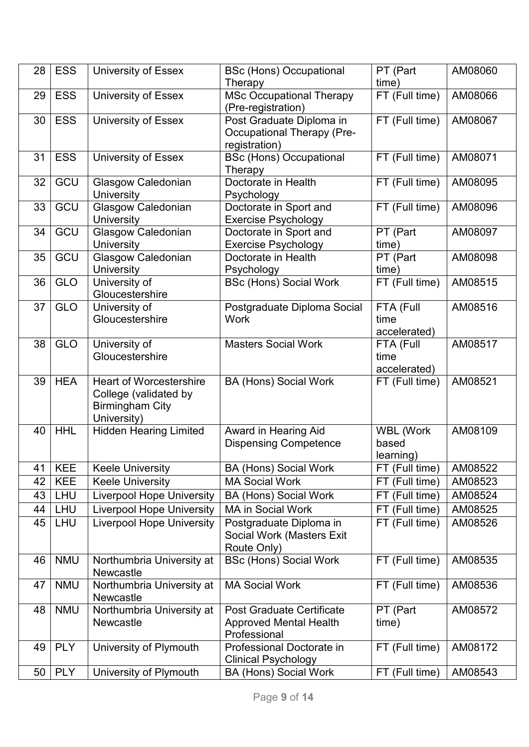| time)<br>Therapy<br><b>MSc Occupational Therapy</b><br>FT (Full time)<br>AM08066<br><b>ESS</b><br>University of Essex<br>29<br>(Pre-registration)<br><b>ESS</b><br>Post Graduate Diploma in<br>FT (Full time)<br>30<br>University of Essex<br>AM08067<br><b>Occupational Therapy (Pre-</b><br>registration)<br><b>ESS</b><br><b>BSc (Hons) Occupational</b><br>FT (Full time)<br>AM08071<br>31<br>University of Essex<br>Therapy<br>GCU<br>Doctorate in Health<br>32<br><b>Glasgow Caledonian</b><br>FT (Full time)<br>AM08095<br>University<br>Psychology<br>GCU<br><b>Glasgow Caledonian</b><br>Doctorate in Sport and<br>FT (Full time)<br>33<br>AM08096<br><b>University</b><br><b>Exercise Psychology</b><br>GCU<br>Glasgow Caledonian<br>PT (Part<br>34<br>Doctorate in Sport and<br>AM08097<br><b>University</b><br><b>Exercise Psychology</b><br>time)<br>GCU<br>Glasgow Caledonian<br>35<br>Doctorate in Health<br>PT (Part<br>AM08098<br><b>University</b><br>Psychology<br>time)<br><b>GLO</b><br>University of<br><b>BSc (Hons) Social Work</b><br>FT (Full time)<br>AM08515<br>36<br>Gloucestershire<br>FTA (Full<br>37<br><b>GLO</b><br>University of<br>AM08516<br>Postgraduate Diploma Social<br>Gloucestershire<br><b>Work</b><br>time<br>accelerated)<br><b>GLO</b><br>AM08517<br>38<br>University of<br><b>Masters Social Work</b><br>FTA (Full<br>Gloucestershire<br>time<br>accelerated)<br><b>HEA</b><br>AM08521<br>39<br><b>Heart of Worcestershire</b><br><b>BA (Hons) Social Work</b><br>FT (Full time)<br>College (validated by<br><b>Birmingham City</b><br>University)<br><b>HHL</b><br><b>Hidden Hearing Limited</b><br>Award in Hearing Aid<br><b>WBL (Work</b><br>AM08109<br>40<br><b>Dispensing Competence</b><br>based<br>learning)<br><b>KEE</b><br>FT (Full time)<br>41<br><b>Keele University</b><br><b>BA (Hons) Social Work</b><br>AM08522<br><b>KEE</b><br><b>Keele University</b><br><b>MA Social Work</b><br>FT (Full time)<br>42<br>AM08523<br><b>LHU</b><br><b>Liverpool Hope University</b><br><b>BA (Hons) Social Work</b><br>FT (Full time)<br>43<br>AM08524<br><b>LHU</b><br><b>Liverpool Hope University</b><br>MA in Social Work<br>FT (Full time)<br>AM08525<br>44<br><b>Liverpool Hope University</b><br>FT (Full time)<br>AM08526<br>45<br><b>LHU</b><br>Postgraduate Diploma in<br>Social Work (Masters Exit<br>Route Only)<br><b>NMU</b><br><b>BSc (Hons) Social Work</b><br>FT (Full time)<br>AM08535<br>Northumbria University at<br>46<br>Newcastle<br><b>NMU</b><br><b>MA Social Work</b><br>FT (Full time)<br>Northumbria University at<br>AM08536<br>47<br>Newcastle<br><b>NMU</b><br>PT (Part<br>Northumbria University at<br>AM08572<br><b>Post Graduate Certificate</b><br>48<br><b>Newcastle</b><br><b>Approved Mental Health</b><br>time) | 28 | <b>ESS</b> | <b>University of Essex</b> | <b>BSc (Hons) Occupational</b> | PT (Part | AM08060 |
|------------------------------------------------------------------------------------------------------------------------------------------------------------------------------------------------------------------------------------------------------------------------------------------------------------------------------------------------------------------------------------------------------------------------------------------------------------------------------------------------------------------------------------------------------------------------------------------------------------------------------------------------------------------------------------------------------------------------------------------------------------------------------------------------------------------------------------------------------------------------------------------------------------------------------------------------------------------------------------------------------------------------------------------------------------------------------------------------------------------------------------------------------------------------------------------------------------------------------------------------------------------------------------------------------------------------------------------------------------------------------------------------------------------------------------------------------------------------------------------------------------------------------------------------------------------------------------------------------------------------------------------------------------------------------------------------------------------------------------------------------------------------------------------------------------------------------------------------------------------------------------------------------------------------------------------------------------------------------------------------------------------------------------------------------------------------------------------------------------------------------------------------------------------------------------------------------------------------------------------------------------------------------------------------------------------------------------------------------------------------------------------------------------------------------------------------------------------------------------------------------------------------------------------------------------------------------------------------------------------------------------------------------------------------------------------------------------------------------------------------------------------------------------------------------------|----|------------|----------------------------|--------------------------------|----------|---------|
|                                                                                                                                                                                                                                                                                                                                                                                                                                                                                                                                                                                                                                                                                                                                                                                                                                                                                                                                                                                                                                                                                                                                                                                                                                                                                                                                                                                                                                                                                                                                                                                                                                                                                                                                                                                                                                                                                                                                                                                                                                                                                                                                                                                                                                                                                                                                                                                                                                                                                                                                                                                                                                                                                                                                                                                                            |    |            |                            |                                |          |         |
|                                                                                                                                                                                                                                                                                                                                                                                                                                                                                                                                                                                                                                                                                                                                                                                                                                                                                                                                                                                                                                                                                                                                                                                                                                                                                                                                                                                                                                                                                                                                                                                                                                                                                                                                                                                                                                                                                                                                                                                                                                                                                                                                                                                                                                                                                                                                                                                                                                                                                                                                                                                                                                                                                                                                                                                                            |    |            |                            |                                |          |         |
|                                                                                                                                                                                                                                                                                                                                                                                                                                                                                                                                                                                                                                                                                                                                                                                                                                                                                                                                                                                                                                                                                                                                                                                                                                                                                                                                                                                                                                                                                                                                                                                                                                                                                                                                                                                                                                                                                                                                                                                                                                                                                                                                                                                                                                                                                                                                                                                                                                                                                                                                                                                                                                                                                                                                                                                                            |    |            |                            |                                |          |         |
|                                                                                                                                                                                                                                                                                                                                                                                                                                                                                                                                                                                                                                                                                                                                                                                                                                                                                                                                                                                                                                                                                                                                                                                                                                                                                                                                                                                                                                                                                                                                                                                                                                                                                                                                                                                                                                                                                                                                                                                                                                                                                                                                                                                                                                                                                                                                                                                                                                                                                                                                                                                                                                                                                                                                                                                                            |    |            |                            |                                |          |         |
|                                                                                                                                                                                                                                                                                                                                                                                                                                                                                                                                                                                                                                                                                                                                                                                                                                                                                                                                                                                                                                                                                                                                                                                                                                                                                                                                                                                                                                                                                                                                                                                                                                                                                                                                                                                                                                                                                                                                                                                                                                                                                                                                                                                                                                                                                                                                                                                                                                                                                                                                                                                                                                                                                                                                                                                                            |    |            |                            |                                |          |         |
|                                                                                                                                                                                                                                                                                                                                                                                                                                                                                                                                                                                                                                                                                                                                                                                                                                                                                                                                                                                                                                                                                                                                                                                                                                                                                                                                                                                                                                                                                                                                                                                                                                                                                                                                                                                                                                                                                                                                                                                                                                                                                                                                                                                                                                                                                                                                                                                                                                                                                                                                                                                                                                                                                                                                                                                                            |    |            |                            |                                |          |         |
|                                                                                                                                                                                                                                                                                                                                                                                                                                                                                                                                                                                                                                                                                                                                                                                                                                                                                                                                                                                                                                                                                                                                                                                                                                                                                                                                                                                                                                                                                                                                                                                                                                                                                                                                                                                                                                                                                                                                                                                                                                                                                                                                                                                                                                                                                                                                                                                                                                                                                                                                                                                                                                                                                                                                                                                                            |    |            |                            |                                |          |         |
|                                                                                                                                                                                                                                                                                                                                                                                                                                                                                                                                                                                                                                                                                                                                                                                                                                                                                                                                                                                                                                                                                                                                                                                                                                                                                                                                                                                                                                                                                                                                                                                                                                                                                                                                                                                                                                                                                                                                                                                                                                                                                                                                                                                                                                                                                                                                                                                                                                                                                                                                                                                                                                                                                                                                                                                                            |    |            |                            |                                |          |         |
|                                                                                                                                                                                                                                                                                                                                                                                                                                                                                                                                                                                                                                                                                                                                                                                                                                                                                                                                                                                                                                                                                                                                                                                                                                                                                                                                                                                                                                                                                                                                                                                                                                                                                                                                                                                                                                                                                                                                                                                                                                                                                                                                                                                                                                                                                                                                                                                                                                                                                                                                                                                                                                                                                                                                                                                                            |    |            |                            |                                |          |         |
|                                                                                                                                                                                                                                                                                                                                                                                                                                                                                                                                                                                                                                                                                                                                                                                                                                                                                                                                                                                                                                                                                                                                                                                                                                                                                                                                                                                                                                                                                                                                                                                                                                                                                                                                                                                                                                                                                                                                                                                                                                                                                                                                                                                                                                                                                                                                                                                                                                                                                                                                                                                                                                                                                                                                                                                                            |    |            |                            |                                |          |         |
|                                                                                                                                                                                                                                                                                                                                                                                                                                                                                                                                                                                                                                                                                                                                                                                                                                                                                                                                                                                                                                                                                                                                                                                                                                                                                                                                                                                                                                                                                                                                                                                                                                                                                                                                                                                                                                                                                                                                                                                                                                                                                                                                                                                                                                                                                                                                                                                                                                                                                                                                                                                                                                                                                                                                                                                                            |    |            |                            |                                |          |         |
|                                                                                                                                                                                                                                                                                                                                                                                                                                                                                                                                                                                                                                                                                                                                                                                                                                                                                                                                                                                                                                                                                                                                                                                                                                                                                                                                                                                                                                                                                                                                                                                                                                                                                                                                                                                                                                                                                                                                                                                                                                                                                                                                                                                                                                                                                                                                                                                                                                                                                                                                                                                                                                                                                                                                                                                                            |    |            |                            |                                |          |         |
|                                                                                                                                                                                                                                                                                                                                                                                                                                                                                                                                                                                                                                                                                                                                                                                                                                                                                                                                                                                                                                                                                                                                                                                                                                                                                                                                                                                                                                                                                                                                                                                                                                                                                                                                                                                                                                                                                                                                                                                                                                                                                                                                                                                                                                                                                                                                                                                                                                                                                                                                                                                                                                                                                                                                                                                                            |    |            |                            |                                |          |         |
|                                                                                                                                                                                                                                                                                                                                                                                                                                                                                                                                                                                                                                                                                                                                                                                                                                                                                                                                                                                                                                                                                                                                                                                                                                                                                                                                                                                                                                                                                                                                                                                                                                                                                                                                                                                                                                                                                                                                                                                                                                                                                                                                                                                                                                                                                                                                                                                                                                                                                                                                                                                                                                                                                                                                                                                                            |    |            |                            |                                |          |         |
|                                                                                                                                                                                                                                                                                                                                                                                                                                                                                                                                                                                                                                                                                                                                                                                                                                                                                                                                                                                                                                                                                                                                                                                                                                                                                                                                                                                                                                                                                                                                                                                                                                                                                                                                                                                                                                                                                                                                                                                                                                                                                                                                                                                                                                                                                                                                                                                                                                                                                                                                                                                                                                                                                                                                                                                                            |    |            |                            |                                |          |         |
|                                                                                                                                                                                                                                                                                                                                                                                                                                                                                                                                                                                                                                                                                                                                                                                                                                                                                                                                                                                                                                                                                                                                                                                                                                                                                                                                                                                                                                                                                                                                                                                                                                                                                                                                                                                                                                                                                                                                                                                                                                                                                                                                                                                                                                                                                                                                                                                                                                                                                                                                                                                                                                                                                                                                                                                                            |    |            |                            |                                |          |         |
|                                                                                                                                                                                                                                                                                                                                                                                                                                                                                                                                                                                                                                                                                                                                                                                                                                                                                                                                                                                                                                                                                                                                                                                                                                                                                                                                                                                                                                                                                                                                                                                                                                                                                                                                                                                                                                                                                                                                                                                                                                                                                                                                                                                                                                                                                                                                                                                                                                                                                                                                                                                                                                                                                                                                                                                                            |    |            |                            |                                |          |         |
|                                                                                                                                                                                                                                                                                                                                                                                                                                                                                                                                                                                                                                                                                                                                                                                                                                                                                                                                                                                                                                                                                                                                                                                                                                                                                                                                                                                                                                                                                                                                                                                                                                                                                                                                                                                                                                                                                                                                                                                                                                                                                                                                                                                                                                                                                                                                                                                                                                                                                                                                                                                                                                                                                                                                                                                                            |    |            |                            |                                |          |         |
|                                                                                                                                                                                                                                                                                                                                                                                                                                                                                                                                                                                                                                                                                                                                                                                                                                                                                                                                                                                                                                                                                                                                                                                                                                                                                                                                                                                                                                                                                                                                                                                                                                                                                                                                                                                                                                                                                                                                                                                                                                                                                                                                                                                                                                                                                                                                                                                                                                                                                                                                                                                                                                                                                                                                                                                                            |    |            |                            |                                |          |         |
|                                                                                                                                                                                                                                                                                                                                                                                                                                                                                                                                                                                                                                                                                                                                                                                                                                                                                                                                                                                                                                                                                                                                                                                                                                                                                                                                                                                                                                                                                                                                                                                                                                                                                                                                                                                                                                                                                                                                                                                                                                                                                                                                                                                                                                                                                                                                                                                                                                                                                                                                                                                                                                                                                                                                                                                                            |    |            |                            |                                |          |         |
|                                                                                                                                                                                                                                                                                                                                                                                                                                                                                                                                                                                                                                                                                                                                                                                                                                                                                                                                                                                                                                                                                                                                                                                                                                                                                                                                                                                                                                                                                                                                                                                                                                                                                                                                                                                                                                                                                                                                                                                                                                                                                                                                                                                                                                                                                                                                                                                                                                                                                                                                                                                                                                                                                                                                                                                                            |    |            |                            |                                |          |         |
|                                                                                                                                                                                                                                                                                                                                                                                                                                                                                                                                                                                                                                                                                                                                                                                                                                                                                                                                                                                                                                                                                                                                                                                                                                                                                                                                                                                                                                                                                                                                                                                                                                                                                                                                                                                                                                                                                                                                                                                                                                                                                                                                                                                                                                                                                                                                                                                                                                                                                                                                                                                                                                                                                                                                                                                                            |    |            |                            |                                |          |         |
|                                                                                                                                                                                                                                                                                                                                                                                                                                                                                                                                                                                                                                                                                                                                                                                                                                                                                                                                                                                                                                                                                                                                                                                                                                                                                                                                                                                                                                                                                                                                                                                                                                                                                                                                                                                                                                                                                                                                                                                                                                                                                                                                                                                                                                                                                                                                                                                                                                                                                                                                                                                                                                                                                                                                                                                                            |    |            |                            |                                |          |         |
|                                                                                                                                                                                                                                                                                                                                                                                                                                                                                                                                                                                                                                                                                                                                                                                                                                                                                                                                                                                                                                                                                                                                                                                                                                                                                                                                                                                                                                                                                                                                                                                                                                                                                                                                                                                                                                                                                                                                                                                                                                                                                                                                                                                                                                                                                                                                                                                                                                                                                                                                                                                                                                                                                                                                                                                                            |    |            |                            |                                |          |         |
|                                                                                                                                                                                                                                                                                                                                                                                                                                                                                                                                                                                                                                                                                                                                                                                                                                                                                                                                                                                                                                                                                                                                                                                                                                                                                                                                                                                                                                                                                                                                                                                                                                                                                                                                                                                                                                                                                                                                                                                                                                                                                                                                                                                                                                                                                                                                                                                                                                                                                                                                                                                                                                                                                                                                                                                                            |    |            |                            |                                |          |         |
|                                                                                                                                                                                                                                                                                                                                                                                                                                                                                                                                                                                                                                                                                                                                                                                                                                                                                                                                                                                                                                                                                                                                                                                                                                                                                                                                                                                                                                                                                                                                                                                                                                                                                                                                                                                                                                                                                                                                                                                                                                                                                                                                                                                                                                                                                                                                                                                                                                                                                                                                                                                                                                                                                                                                                                                                            |    |            |                            |                                |          |         |
|                                                                                                                                                                                                                                                                                                                                                                                                                                                                                                                                                                                                                                                                                                                                                                                                                                                                                                                                                                                                                                                                                                                                                                                                                                                                                                                                                                                                                                                                                                                                                                                                                                                                                                                                                                                                                                                                                                                                                                                                                                                                                                                                                                                                                                                                                                                                                                                                                                                                                                                                                                                                                                                                                                                                                                                                            |    |            |                            |                                |          |         |
|                                                                                                                                                                                                                                                                                                                                                                                                                                                                                                                                                                                                                                                                                                                                                                                                                                                                                                                                                                                                                                                                                                                                                                                                                                                                                                                                                                                                                                                                                                                                                                                                                                                                                                                                                                                                                                                                                                                                                                                                                                                                                                                                                                                                                                                                                                                                                                                                                                                                                                                                                                                                                                                                                                                                                                                                            |    |            |                            |                                |          |         |
|                                                                                                                                                                                                                                                                                                                                                                                                                                                                                                                                                                                                                                                                                                                                                                                                                                                                                                                                                                                                                                                                                                                                                                                                                                                                                                                                                                                                                                                                                                                                                                                                                                                                                                                                                                                                                                                                                                                                                                                                                                                                                                                                                                                                                                                                                                                                                                                                                                                                                                                                                                                                                                                                                                                                                                                                            |    |            |                            |                                |          |         |
|                                                                                                                                                                                                                                                                                                                                                                                                                                                                                                                                                                                                                                                                                                                                                                                                                                                                                                                                                                                                                                                                                                                                                                                                                                                                                                                                                                                                                                                                                                                                                                                                                                                                                                                                                                                                                                                                                                                                                                                                                                                                                                                                                                                                                                                                                                                                                                                                                                                                                                                                                                                                                                                                                                                                                                                                            |    |            |                            |                                |          |         |
|                                                                                                                                                                                                                                                                                                                                                                                                                                                                                                                                                                                                                                                                                                                                                                                                                                                                                                                                                                                                                                                                                                                                                                                                                                                                                                                                                                                                                                                                                                                                                                                                                                                                                                                                                                                                                                                                                                                                                                                                                                                                                                                                                                                                                                                                                                                                                                                                                                                                                                                                                                                                                                                                                                                                                                                                            |    |            |                            |                                |          |         |
|                                                                                                                                                                                                                                                                                                                                                                                                                                                                                                                                                                                                                                                                                                                                                                                                                                                                                                                                                                                                                                                                                                                                                                                                                                                                                                                                                                                                                                                                                                                                                                                                                                                                                                                                                                                                                                                                                                                                                                                                                                                                                                                                                                                                                                                                                                                                                                                                                                                                                                                                                                                                                                                                                                                                                                                                            |    |            |                            |                                |          |         |
|                                                                                                                                                                                                                                                                                                                                                                                                                                                                                                                                                                                                                                                                                                                                                                                                                                                                                                                                                                                                                                                                                                                                                                                                                                                                                                                                                                                                                                                                                                                                                                                                                                                                                                                                                                                                                                                                                                                                                                                                                                                                                                                                                                                                                                                                                                                                                                                                                                                                                                                                                                                                                                                                                                                                                                                                            |    |            |                            |                                |          |         |
|                                                                                                                                                                                                                                                                                                                                                                                                                                                                                                                                                                                                                                                                                                                                                                                                                                                                                                                                                                                                                                                                                                                                                                                                                                                                                                                                                                                                                                                                                                                                                                                                                                                                                                                                                                                                                                                                                                                                                                                                                                                                                                                                                                                                                                                                                                                                                                                                                                                                                                                                                                                                                                                                                                                                                                                                            |    |            |                            |                                |          |         |
|                                                                                                                                                                                                                                                                                                                                                                                                                                                                                                                                                                                                                                                                                                                                                                                                                                                                                                                                                                                                                                                                                                                                                                                                                                                                                                                                                                                                                                                                                                                                                                                                                                                                                                                                                                                                                                                                                                                                                                                                                                                                                                                                                                                                                                                                                                                                                                                                                                                                                                                                                                                                                                                                                                                                                                                                            |    |            |                            |                                |          |         |
|                                                                                                                                                                                                                                                                                                                                                                                                                                                                                                                                                                                                                                                                                                                                                                                                                                                                                                                                                                                                                                                                                                                                                                                                                                                                                                                                                                                                                                                                                                                                                                                                                                                                                                                                                                                                                                                                                                                                                                                                                                                                                                                                                                                                                                                                                                                                                                                                                                                                                                                                                                                                                                                                                                                                                                                                            |    |            |                            |                                |          |         |
|                                                                                                                                                                                                                                                                                                                                                                                                                                                                                                                                                                                                                                                                                                                                                                                                                                                                                                                                                                                                                                                                                                                                                                                                                                                                                                                                                                                                                                                                                                                                                                                                                                                                                                                                                                                                                                                                                                                                                                                                                                                                                                                                                                                                                                                                                                                                                                                                                                                                                                                                                                                                                                                                                                                                                                                                            |    |            |                            |                                |          |         |
|                                                                                                                                                                                                                                                                                                                                                                                                                                                                                                                                                                                                                                                                                                                                                                                                                                                                                                                                                                                                                                                                                                                                                                                                                                                                                                                                                                                                                                                                                                                                                                                                                                                                                                                                                                                                                                                                                                                                                                                                                                                                                                                                                                                                                                                                                                                                                                                                                                                                                                                                                                                                                                                                                                                                                                                                            |    |            |                            |                                |          |         |
| Professional<br><b>PLY</b><br>AM08172<br>University of Plymouth<br>Professional Doctorate in<br>FT (Full time)<br>49                                                                                                                                                                                                                                                                                                                                                                                                                                                                                                                                                                                                                                                                                                                                                                                                                                                                                                                                                                                                                                                                                                                                                                                                                                                                                                                                                                                                                                                                                                                                                                                                                                                                                                                                                                                                                                                                                                                                                                                                                                                                                                                                                                                                                                                                                                                                                                                                                                                                                                                                                                                                                                                                                       |    |            |                            |                                |          |         |
| <b>Clinical Psychology</b>                                                                                                                                                                                                                                                                                                                                                                                                                                                                                                                                                                                                                                                                                                                                                                                                                                                                                                                                                                                                                                                                                                                                                                                                                                                                                                                                                                                                                                                                                                                                                                                                                                                                                                                                                                                                                                                                                                                                                                                                                                                                                                                                                                                                                                                                                                                                                                                                                                                                                                                                                                                                                                                                                                                                                                                 |    |            |                            |                                |          |         |
| <b>PLY</b><br>University of Plymouth<br>FT (Full time)<br>AM08543<br>50<br><b>BA (Hons) Social Work</b>                                                                                                                                                                                                                                                                                                                                                                                                                                                                                                                                                                                                                                                                                                                                                                                                                                                                                                                                                                                                                                                                                                                                                                                                                                                                                                                                                                                                                                                                                                                                                                                                                                                                                                                                                                                                                                                                                                                                                                                                                                                                                                                                                                                                                                                                                                                                                                                                                                                                                                                                                                                                                                                                                                    |    |            |                            |                                |          |         |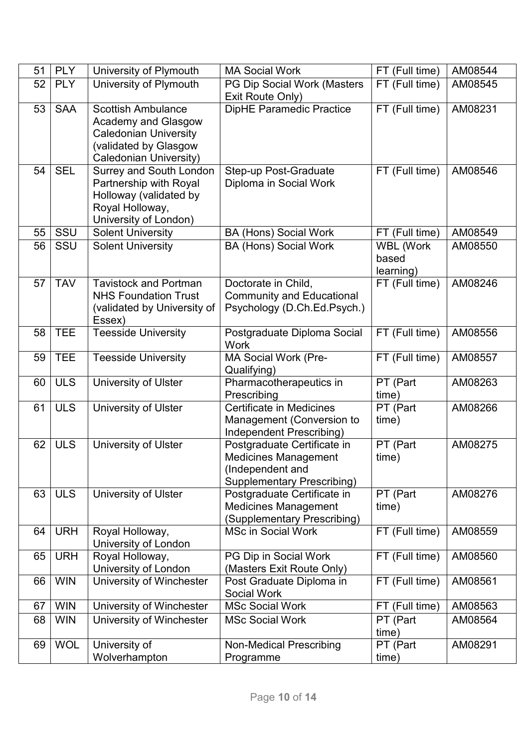| 51 | <b>PLY</b> | University of Plymouth                                   | <b>MA Social Work</b>                                            | FT (Full time)   | AM08544 |
|----|------------|----------------------------------------------------------|------------------------------------------------------------------|------------------|---------|
| 52 | <b>PLY</b> | University of Plymouth                                   | PG Dip Social Work (Masters                                      | FT (Full time)   | AM08545 |
|    |            |                                                          | Exit Route Only)                                                 |                  |         |
| 53 | <b>SAA</b> | <b>Scottish Ambulance</b>                                | <b>DipHE Paramedic Practice</b>                                  | FT (Full time)   | AM08231 |
|    |            | <b>Academy and Glasgow</b>                               |                                                                  |                  |         |
|    |            | <b>Caledonian University</b>                             |                                                                  |                  |         |
|    |            | (validated by Glasgow                                    |                                                                  |                  |         |
| 54 | <b>SEL</b> | <b>Caledonian University)</b>                            |                                                                  | FT (Full time)   | AM08546 |
|    |            | <b>Surrey and South London</b><br>Partnership with Royal | Step-up Post-Graduate<br>Diploma in Social Work                  |                  |         |
|    |            | Holloway (validated by                                   |                                                                  |                  |         |
|    |            | Royal Holloway,                                          |                                                                  |                  |         |
|    |            | University of London)                                    |                                                                  |                  |         |
| 55 | SSU        | <b>Solent University</b>                                 | <b>BA (Hons) Social Work</b>                                     | FT (Full time)   | AM08549 |
| 56 | SSU        | <b>Solent University</b>                                 | <b>BA (Hons) Social Work</b>                                     | <b>WBL (Work</b> | AM08550 |
|    |            |                                                          |                                                                  | based            |         |
|    |            |                                                          |                                                                  | learning)        |         |
| 57 | <b>TAV</b> | <b>Tavistock and Portman</b>                             | Doctorate in Child,                                              | FT (Full time)   | AM08246 |
|    |            | <b>NHS Foundation Trust</b>                              | <b>Community and Educational</b>                                 |                  |         |
|    |            | (validated by University of                              | Psychology (D.Ch.Ed.Psych.)                                      |                  |         |
|    |            | Essex)                                                   |                                                                  |                  |         |
| 58 | <b>TEE</b> | <b>Teesside University</b>                               | Postgraduate Diploma Social<br>Work                              | FT (Full time)   | AM08556 |
| 59 | <b>TEE</b> | <b>Teesside University</b>                               | MA Social Work (Pre-                                             | FT (Full time)   | AM08557 |
|    |            |                                                          | Qualifying)                                                      |                  |         |
| 60 | <b>ULS</b> | University of Ulster                                     | Pharmacotherapeutics in                                          | PT (Part         | AM08263 |
|    |            |                                                          | Prescribing                                                      | time)            |         |
| 61 | <b>ULS</b> | University of Ulster                                     | <b>Certificate in Medicines</b>                                  | PT (Part         | AM08266 |
|    |            |                                                          | Management (Conversion to                                        | time)            |         |
|    |            |                                                          | Independent Prescribing)                                         |                  |         |
| 62 | <b>ULS</b> | <b>University of Ulster</b>                              | Postgraduate Certificate in                                      | PT (Part         | AM08275 |
|    |            |                                                          | <b>Medicines Management</b>                                      | time)            |         |
|    |            |                                                          | (Independent and                                                 |                  |         |
| 63 | <b>ULS</b> | University of Ulster                                     | <b>Supplementary Prescribing)</b><br>Postgraduate Certificate in | PT (Part         | AM08276 |
|    |            |                                                          | <b>Medicines Management</b>                                      | time)            |         |
|    |            |                                                          | (Supplementary Prescribing)                                      |                  |         |
| 64 | <b>URH</b> | Royal Holloway,                                          | <b>MSc in Social Work</b>                                        | FT (Full time)   | AM08559 |
|    |            | University of London                                     |                                                                  |                  |         |
| 65 | <b>URH</b> | Royal Holloway,                                          | PG Dip in Social Work                                            | FT (Full time)   | AM08560 |
|    |            | University of London                                     | (Masters Exit Route Only)                                        |                  |         |
| 66 | <b>WIN</b> | University of Winchester                                 | Post Graduate Diploma in                                         | FT (Full time)   | AM08561 |
|    |            |                                                          | <b>Social Work</b>                                               |                  |         |
| 67 | <b>WIN</b> | University of Winchester                                 | <b>MSc Social Work</b>                                           | FT (Full time)   | AM08563 |
| 68 | <b>WIN</b> | University of Winchester                                 | <b>MSc Social Work</b>                                           | PT (Part         | AM08564 |
|    |            |                                                          |                                                                  | time)            |         |
| 69 | <b>WOL</b> | University of                                            | <b>Non-Medical Prescribing</b>                                   | PT (Part         | AM08291 |
|    |            | Wolverhampton                                            | Programme                                                        | time)            |         |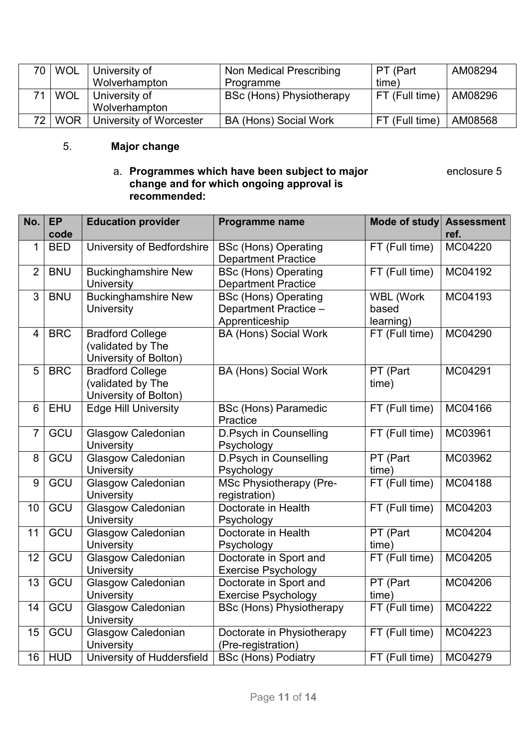|            | 70   WOL   University of | Non Medical Prescribing         | PT (Part          | AM08294 |
|------------|--------------------------|---------------------------------|-------------------|---------|
|            | Wolverhampton            | Programme                       | time)             |         |
| <b>WOL</b> | ∣ University of          | <b>BSc (Hons) Physiotherapy</b> | $ FT$ (Full time) | AM08296 |
|            | Wolverhampton            |                                 |                   |         |
| 72   WOR   | University of Worcester  | <b>BA (Hons) Social Work</b>    | $FT$ (Full time)  | AM08568 |

## 5. **Major change**

#### a. P**rogrammes which have been subject to major** enclosure to the enclosure 5 **change and for which ongoing approval is recommended:**

| No.             | <b>EP</b>  | <b>Education provider</b>   | Programme name                     | <b>Mode of study</b> | <b>Assessment</b> |
|-----------------|------------|-----------------------------|------------------------------------|----------------------|-------------------|
|                 | code       |                             |                                    |                      | ref.              |
| $\mathbf 1$     | <b>BED</b> | University of Bedfordshire  | <b>BSc (Hons) Operating</b>        | FT (Full time)       | MC04220           |
|                 |            |                             | <b>Department Practice</b>         |                      |                   |
| $\overline{2}$  | <b>BNU</b> | <b>Buckinghamshire New</b>  | <b>BSc (Hons) Operating</b>        | FT (Full time)       | MC04192           |
|                 |            | <b>University</b>           | <b>Department Practice</b>         |                      |                   |
| 3               | <b>BNU</b> | <b>Buckinghamshire New</b>  | <b>BSc (Hons) Operating</b>        | <b>WBL (Work</b>     | MC04193           |
|                 |            | University                  | Department Practice -              | based                |                   |
|                 |            |                             | Apprenticeship                     | learning)            |                   |
| $\overline{4}$  | <b>BRC</b> | <b>Bradford College</b>     | <b>BA (Hons) Social Work</b>       | FT (Full time)       | MC04290           |
|                 |            | (validated by The           |                                    |                      |                   |
|                 |            | University of Bolton)       |                                    |                      |                   |
| 5               | <b>BRC</b> | <b>Bradford College</b>     | <b>BA (Hons) Social Work</b>       | PT (Part             | MC04291           |
|                 |            | (validated by The           |                                    | time)                |                   |
|                 |            | University of Bolton)       |                                    |                      |                   |
| $6\phantom{1}6$ | <b>EHU</b> | <b>Edge Hill University</b> | <b>BSc (Hons) Paramedic</b>        | FT (Full time)       | MC04166           |
| $\overline{7}$  | GCU        | <b>Glasgow Caledonian</b>   | Practice<br>D.Psych in Counselling | $FT$ (Full time)     | MC03961           |
|                 |            | <b>University</b>           | Psychology                         |                      |                   |
| 8               | GCU        | <b>Glasgow Caledonian</b>   | <b>D.Psych in Counselling</b>      | PT (Part             | MC03962           |
|                 |            | University                  | Psychology                         | time)                |                   |
| 9               | GCU        | Glasgow Caledonian          | <b>MSc Physiotherapy (Pre-</b>     | FT (Full time)       | MC04188           |
|                 |            | <b>University</b>           | registration)                      |                      |                   |
| 10              | GCU        | <b>Glasgow Caledonian</b>   | Doctorate in Health                | FT (Full time)       | MC04203           |
|                 |            | University                  | Psychology                         |                      |                   |
| 11              | GCU        | Glasgow Caledonian          | Doctorate in Health                | PT (Part             | MC04204           |
|                 |            | University                  | Psychology                         | time)                |                   |
| 12              | GCU        | <b>Glasgow Caledonian</b>   | Doctorate in Sport and             | FT (Full time)       | MC04205           |
|                 |            | University                  | <b>Exercise Psychology</b>         |                      |                   |
| 13              | GCU        | <b>Glasgow Caledonian</b>   | Doctorate in Sport and             | PT (Part             | MC04206           |
|                 |            | University                  | <b>Exercise Psychology</b>         | time)                |                   |
| 14              | GCU        | Glasgow Caledonian          | <b>BSc (Hons) Physiotherapy</b>    | FT (Full time)       | MC04222           |
|                 |            | <b>University</b>           |                                    |                      |                   |
| 15              | GCU        | <b>Glasgow Caledonian</b>   | Doctorate in Physiotherapy         | $FT$ (Full time)     | MC04223           |
|                 |            | University                  | (Pre-registration)                 |                      |                   |
| 16              | <b>HUD</b> | University of Huddersfield  | <b>BSc (Hons) Podiatry</b>         | FT (Full time)       | MC04279           |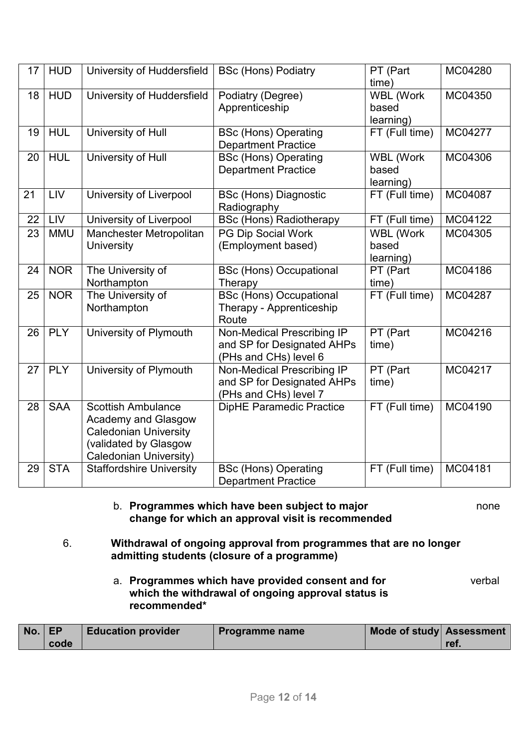| 17 | <b>HUD</b> | University of Huddersfield      | <b>BSc (Hons) Podiatry</b>      | PT (Part         | MC04280 |
|----|------------|---------------------------------|---------------------------------|------------------|---------|
|    |            |                                 |                                 | time)            |         |
| 18 | <b>HUD</b> | University of Huddersfield      | Podiatry (Degree)               | <b>WBL (Work</b> | MC04350 |
|    |            |                                 | Apprenticeship                  | based            |         |
|    |            |                                 |                                 | learning)        |         |
| 19 | <b>HUL</b> | University of Hull              | <b>BSc (Hons) Operating</b>     | FT (Full time)   | MC04277 |
|    |            |                                 | <b>Department Practice</b>      |                  |         |
| 20 | <b>HUL</b> | University of Hull              | <b>BSc (Hons) Operating</b>     | <b>WBL (Work</b> | MC04306 |
|    |            |                                 | <b>Department Practice</b>      | based            |         |
|    |            |                                 |                                 | learning)        |         |
| 21 | LIV        | University of Liverpool         | <b>BSc (Hons) Diagnostic</b>    | FT (Full time)   | MC04087 |
|    |            |                                 | Radiography                     |                  |         |
| 22 | LIV        | University of Liverpool         | <b>BSc (Hons) Radiotherapy</b>  | FT (Full time)   | MC04122 |
| 23 | <b>MMU</b> | Manchester Metropolitan         | PG Dip Social Work              | <b>WBL (Work</b> | MC04305 |
|    |            | <b>University</b>               | (Employment based)              | based            |         |
|    |            |                                 |                                 | learning)        |         |
| 24 | <b>NOR</b> | The University of               | <b>BSc (Hons) Occupational</b>  | PT (Part         | MC04186 |
|    |            | Northampton                     | Therapy                         | time)            |         |
| 25 | <b>NOR</b> | The University of               | <b>BSc (Hons) Occupational</b>  | FT (Full time)   | MC04287 |
|    |            | Northampton                     | Therapy - Apprenticeship        |                  |         |
|    |            |                                 | Route                           |                  |         |
| 26 | PLY        | University of Plymouth          | Non-Medical Prescribing IP      | PT (Part         | MC04216 |
|    |            |                                 | and SP for Designated AHPs      | time)            |         |
|    |            |                                 | (PHs and CHs) level 6           |                  |         |
| 27 | PLY        | University of Plymouth          | Non-Medical Prescribing IP      | PT (Part         | MC04217 |
|    |            |                                 | and SP for Designated AHPs      | time)            |         |
|    |            |                                 | (PHs and CHs) level 7           |                  |         |
| 28 | <b>SAA</b> | <b>Scottish Ambulance</b>       | <b>DipHE Paramedic Practice</b> | FT (Full time)   | MC04190 |
|    |            | <b>Academy and Glasgow</b>      |                                 |                  |         |
|    |            | <b>Caledonian University</b>    |                                 |                  |         |
|    |            | (validated by Glasgow           |                                 |                  |         |
|    |            | Caledonian University)          |                                 |                  |         |
| 29 | <b>STA</b> | <b>Staffordshire University</b> | <b>BSc (Hons) Operating</b>     | FT (Full time)   | MC04181 |
|    |            |                                 | <b>Department Practice</b>      |                  |         |

#### b. **Programmes which have been subject to major** none **change for which an approval visit is recommended**

- 6. **Withdrawal of ongoing approval from programmes that are no longer admitting students (closure of a programme)** 
	- a. **Programmes which have provided consent and for** verbal **which the withdrawal of ongoing approval status is recommended\***

| $No.$ EP |      | <b>Education provider</b> | Programme name | Mode of study Assessment |      |
|----------|------|---------------------------|----------------|--------------------------|------|
|          | code |                           |                |                          | ret. |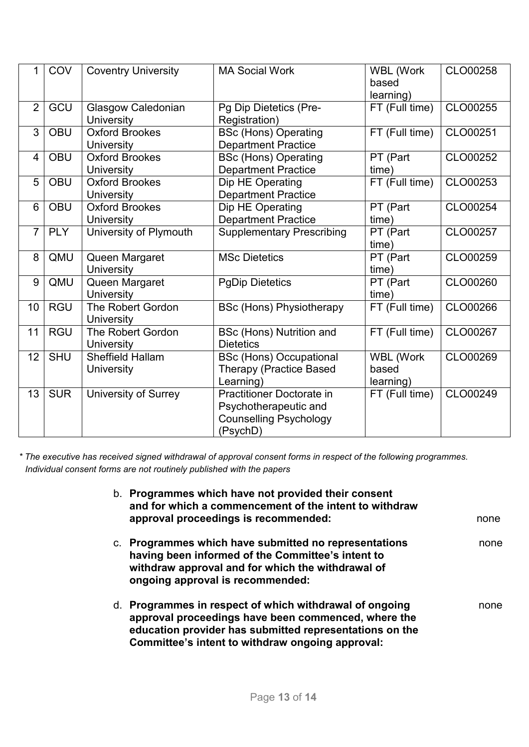| 1              | COV        | <b>Coventry University</b>                    | <b>MA Social Work</b>                                                                           | <b>WBL (Work</b><br>based<br>learning) | CLO00258 |
|----------------|------------|-----------------------------------------------|-------------------------------------------------------------------------------------------------|----------------------------------------|----------|
| $\overline{2}$ | GCU        | Glasgow Caledonian<br><b>University</b>       | Pg Dip Dietetics (Pre-<br>Registration)                                                         | FT (Full time)                         | CLO00255 |
| 3              | <b>OBU</b> | <b>Oxford Brookes</b><br><b>University</b>    | <b>BSc (Hons) Operating</b><br><b>Department Practice</b>                                       | FT (Full time)                         | CLO00251 |
| $\overline{4}$ | <b>OBU</b> | <b>Oxford Brookes</b><br><b>University</b>    | <b>BSc (Hons) Operating</b><br><b>Department Practice</b>                                       | PT (Part<br>time)                      | CLO00252 |
| 5              | <b>OBU</b> | <b>Oxford Brookes</b><br><b>University</b>    | Dip HE Operating<br><b>Department Practice</b>                                                  | FT (Full time)                         | CLO00253 |
| 6              | <b>OBU</b> | <b>Oxford Brookes</b><br><b>University</b>    | Dip HE Operating<br><b>Department Practice</b>                                                  | PT (Part<br>time)                      | CLO00254 |
| $\overline{7}$ | <b>PLY</b> | University of Plymouth                        | <b>Supplementary Prescribing</b>                                                                | PT (Part<br>time)                      | CLO00257 |
| 8              | QMU        | Queen Margaret<br><b>University</b>           | <b>MSc Dietetics</b>                                                                            | PT (Part<br>time)                      | CLO00259 |
| 9              | QMU        | Queen Margaret<br><b>University</b>           | <b>PgDip Dietetics</b>                                                                          | PT (Part<br>(time                      | CLO00260 |
| 10             | <b>RGU</b> | The Robert Gordon<br><b>University</b>        | <b>BSc (Hons) Physiotherapy</b>                                                                 | FT (Full time)                         | CLO00266 |
| 11             | <b>RGU</b> | <b>The Robert Gordon</b><br><b>University</b> | <b>BSc (Hons) Nutrition and</b><br><b>Dietetics</b>                                             | FT (Full time)                         | CLO00267 |
| 12             | <b>SHU</b> | <b>Sheffield Hallam</b><br><b>University</b>  | <b>BSc (Hons) Occupational</b><br><b>Therapy (Practice Based</b><br>Learning)                   | <b>WBL (Work</b><br>based<br>learning) | CLO00269 |
| 13             | <b>SUR</b> | <b>University of Surrey</b>                   | Practitioner Doctorate in<br>Psychotherapeutic and<br><b>Counselling Psychology</b><br>(PsychD) | FT (Full time)                         | CLO00249 |

*\* The executive has received signed withdrawal of approval consent forms in respect of the following programmes. Individual consent forms are not routinely published with the papers*

| b. Programmes which have not provided their consent<br>and for which a commencement of the intent to withdraw                                                                                                                 |      |
|-------------------------------------------------------------------------------------------------------------------------------------------------------------------------------------------------------------------------------|------|
| approval proceedings is recommended:                                                                                                                                                                                          | none |
| c. Programmes which have submitted no representations<br>having been informed of the Committee's intent to<br>withdraw approval and for which the withdrawal of<br>ongoing approval is recommended:                           | none |
| d. Programmes in respect of which withdrawal of ongoing<br>approval proceedings have been commenced, where the<br>education provider has submitted representations on the<br>Committee's intent to withdraw ongoing approval: | none |